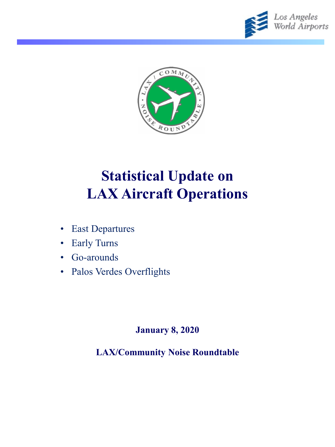



# **Statistical Update on LAX Aircraft Operations**

- East Departures
- Early Turns
- Go-arounds
- Palos Verdes Overflights

#### **January 8, 2020**

### **LAX/Community Noise Roundtable**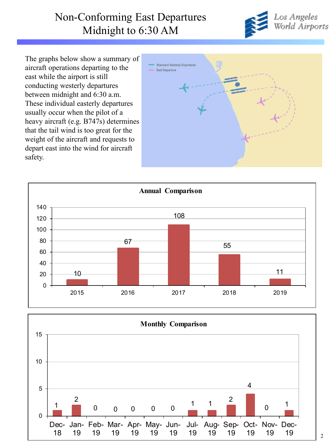### Non-Conforming East Departures Midnight to 6:30 AM



The graphs below show a summary of aircraft operations departing to the east while the airport is still conducting westerly departures between midnight and 6:30 a.m. These individual easterly departures usually occur when the pilot of a heavy aircraft (e.g. B747s) determines that the tail wind is too great for the weight of the aircraft and requests to depart east into the wind for aircraft safety.





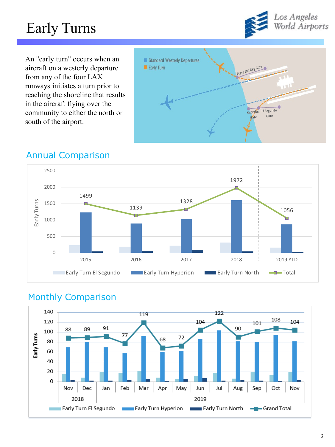# Early Turns



An "early turn" occurs when an aircraft on a westerly departure from any of the four LAX runways initiates a turn prior to reaching the shoreline that results in the aircraft flying over the community to either the north or south of the airport.



#### Annual Comparison



### Monthly Comparison

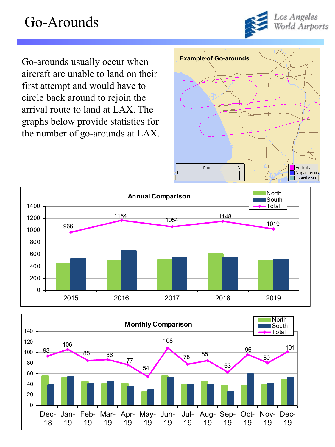# Go-Arounds



Go-arounds usually occur when **Example of Go-arounds** aircraft are unable to land on their first attempt and would have to circle back around to rejoin the arrival route to land at LAX. The graphs below provide statistics for the number of go-arounds at LAX.





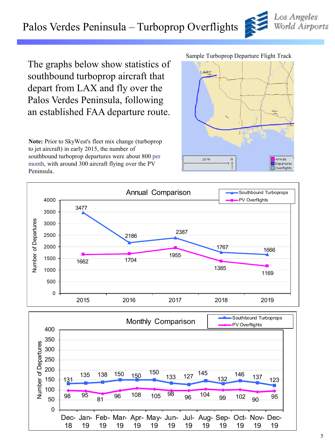## Palos Verdes Peninsula – Turboprop Overflights

The graphs below show statistics of southbound turboprop aircraft that depart from LAX and fly over the Palos Verdes Peninsula, following an established FAA departure route.

**Note:** Prior to SkyWest's fleet mix change (turboprop to jet aircraft) in early 2015, the number of southbound turboprop departures were about 800 per month, with around 300 aircraft flying over the PV Peninsula.

#### Sample Turboprop Departure Flight Track

LAXT







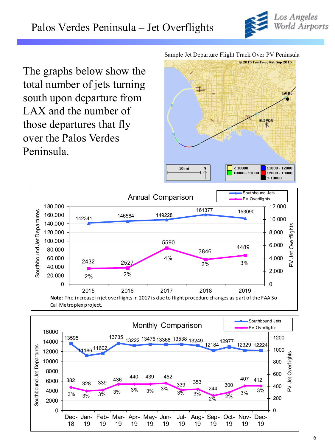

The graphs below show the total number of jets turning south upon departure from LAX and the number of those departures that fly over the Palos Verdes Peninsula.

Sample Jet Departure Flight Track Over PV Peninsula